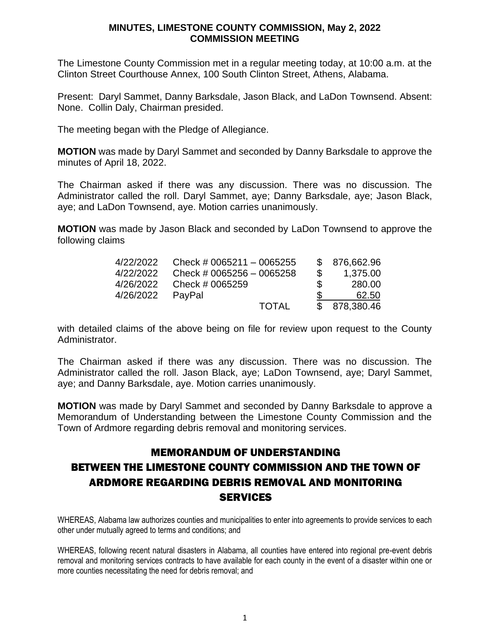The Limestone County Commission met in a regular meeting today, at 10:00 a.m. at the Clinton Street Courthouse Annex, 100 South Clinton Street, Athens, Alabama.

Present: Daryl Sammet, Danny Barksdale, Jason Black, and LaDon Townsend. Absent: None. Collin Daly, Chairman presided.

The meeting began with the Pledge of Allegiance.

**MOTION** was made by Daryl Sammet and seconded by Danny Barksdale to approve the minutes of April 18, 2022.

The Chairman asked if there was any discussion. There was no discussion. The Administrator called the roll. Daryl Sammet, aye; Danny Barksdale, aye; Jason Black, aye; and LaDon Townsend, aye. Motion carries unanimously.

**MOTION** was made by Jason Black and seconded by LaDon Townsend to approve the following claims

| 4/22/2022        | Check # 0065211 $-$ 0065255 |              |     | \$ 876,662.96 |
|------------------|-----------------------------|--------------|-----|---------------|
| 4/22/2022        | Check # 0065256 $-$ 0065258 |              | \$  | 1,375.00      |
| 4/26/2022        | Check # 0065259             |              | -SS | 280.00        |
| 4/26/2022 PayPal |                             |              |     | 62.50         |
|                  |                             | <b>TOTAL</b> |     | \$ 878,380.46 |

with detailed claims of the above being on file for review upon request to the County Administrator.

The Chairman asked if there was any discussion. There was no discussion. The Administrator called the roll. Jason Black, aye; LaDon Townsend, aye; Daryl Sammet, aye; and Danny Barksdale, aye. Motion carries unanimously.

**MOTION** was made by Daryl Sammet and seconded by Danny Barksdale to approve a Memorandum of Understanding between the Limestone County Commission and the Town of Ardmore regarding debris removal and monitoring services.

# MEMORANDUM OF UNDERSTANDING BETWEEN THE LIMESTONE COUNTY COMMISSION AND THE TOWN OF ARDMORE REGARDING DEBRIS REMOVAL AND MONITORING **SERVICES**

WHEREAS, Alabama law authorizes counties and municipalities to enter into agreements to provide services to each other under mutually agreed to terms and conditions; and

WHEREAS, following recent natural disasters in Alabama, all counties have entered into regional pre-event debris removal and monitoring services contracts to have available for each county in the event of a disaster within one or more counties necessitating the need for debris removal; and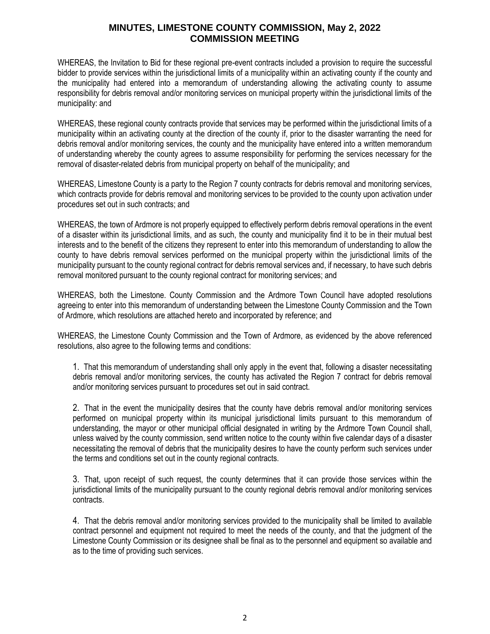WHEREAS, the Invitation to Bid for these regional pre-event contracts included a provision to require the successful bidder to provide services within the jurisdictional limits of a municipality within an activating county if the county and the municipality had entered into a memorandum of understanding allowing the activating county to assume responsibility for debris removal and/or monitoring services on municipal property within the jurisdictional limits of the municipality: and

WHEREAS, these regional county contracts provide that services may be performed within the jurisdictional limits of a municipality within an activating county at the direction of the county if, prior to the disaster warranting the need for debris removal and/or monitoring services, the county and the municipality have entered into a written memorandum of understanding whereby the county agrees to assume responsibility for performing the services necessary for the removal of disaster-related debris from municipal property on behalf of the municipality; and

WHEREAS, Limestone County is a party to the Region 7 county contracts for debris removal and monitoring services, which contracts provide for debris removal and monitoring services to be provided to the county upon activation under procedures set out in such contracts; and

WHEREAS, the town of Ardmore is not properly equipped to effectively perform debris removal operations in the event of a disaster within its jurisdictional limits, and as such, the county and municipality find it to be in their mutual best interests and to the benefit of the citizens they represent to enter into this memorandum of understanding to allow the county to have debris removal services performed on the municipal property within the jurisdictional limits of the municipality pursuant to the county regional contract for debris removal services and, if necessary, to have such debris removal monitored pursuant to the county regional contract for monitoring services; and

WHEREAS, both the Limestone. County Commission and the Ardmore Town Council have adopted resolutions agreeing to enter into this memorandum of understanding between the Limestone County Commission and the Town of Ardmore, which resolutions are attached hereto and incorporated by reference; and

WHEREAS, the Limestone County Commission and the Town of Ardmore, as evidenced by the above referenced resolutions, also agree to the following terms and conditions:

1. That this memorandum of understanding shall only apply in the event that, following a disaster necessitating debris removal and/or monitoring services, the county has activated the Region 7 contract for debris removal and/or monitoring services pursuant to procedures set out in said contract.

2. That in the event the municipality desires that the county have debris removal and/or monitoring services performed on municipal property within its municipal jurisdictional limits pursuant to this memorandum of understanding, the mayor or other municipal official designated in writing by the Ardmore Town Council shall, unless waived by the county commission, send written notice to the county within five calendar days of a disaster necessitating the removal of debris that the municipality desires to have the county perform such services under the terms and conditions set out in the county regional contracts.

3. That, upon receipt of such request, the county determines that it can provide those services within the jurisdictional limits of the municipality pursuant to the county regional debris removal and/or monitoring services contracts.

4. That the debris removal and/or monitoring services provided to the municipality shall be limited to available contract personnel and equipment not required to meet the needs of the county, and that the judgment of the Limestone County Commission or its designee shall be final as to the personnel and equipment so available and as to the time of providing such services.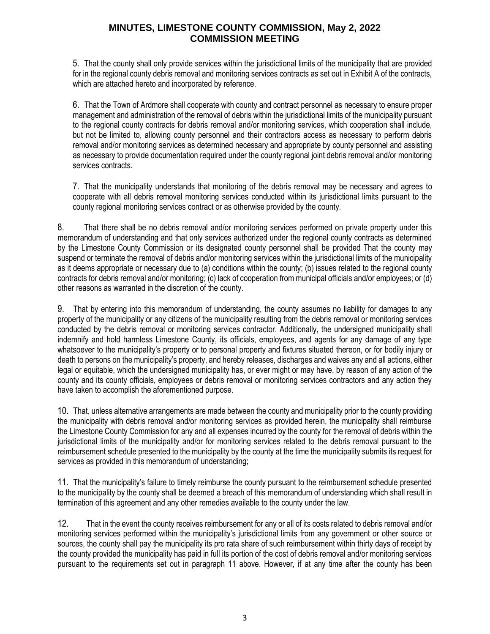5. That the county shall only provide services within the jurisdictional limits of the municipality that are provided for in the regional county debris removal and monitoring services contracts as set out in Exhibit A of the contracts, which are attached hereto and incorporated by reference.

6. That the Town of Ardmore shall cooperate with county and contract personnel as necessary to ensure proper management and administration of the removal of debris within the jurisdictional limits of the municipality pursuant to the regional county contracts for debris removal and/or monitoring services, which cooperation shall include, but not be limited to, allowing county personnel and their contractors access as necessary to perform debris removal and/or monitoring services as determined necessary and appropriate by county personnel and assisting as necessary to provide documentation required under the county regional joint debris removal and/or monitoring services contracts.

7. That the municipality understands that monitoring of the debris removal may be necessary and agrees to cooperate with all debris removal monitoring services conducted within its jurisdictional limits pursuant to the county regional monitoring services contract or as otherwise provided by the county.

8. That there shall be no debris removal and/or monitoring services performed on private property under this memorandum of understanding and that only services authorized under the regional county contracts as determined by the Limestone County Commission or its designated county personnel shall be provided That the county may suspend or terminate the removal of debris and/or monitoring services within the jurisdictional limits of the municipality as it deems appropriate or necessary due to (a) conditions within the county; (b) issues related to the regional county contracts for debris removal and/or monitoring; (c) lack of cooperation from municipal officials and/or employees; or (d) other reasons as warranted in the discretion of the county.

9. That by entering into this memorandum of understanding, the county assumes no liability for damages to any property of the municipality or any citizens of the municipality resulting from the debris removal or monitoring services conducted by the debris removal or monitoring services contractor. Additionally, the undersigned municipality shall indemnify and hold harmless Limestone County, its officials, employees, and agents for any damage of any type whatsoever to the municipality's property or to personal property and fixtures situated thereon, or for bodily injury or death to persons on the municipality's property, and hereby releases, discharges and waives any and all actions, either legal or equitable, which the undersigned municipality has, or ever might or may have, by reason of any action of the county and its county officials, employees or debris removal or monitoring services contractors and any action they have taken to accomplish the aforementioned purpose.

10. That, unless alternative arrangements are made between the county and municipality prior to the county providing the municipality with debris removal and/or monitoring services as provided herein, the municipality shall reimburse the Limestone County Commission for any and all expenses incurred by the county for the removal of debris within the jurisdictional limits of the municipality and/or for monitoring services related to the debris removal pursuant to the reimbursement schedule presented to the municipality by the county at the time the municipality submits its request for services as provided in this memorandum of understanding;

11. That the municipality's failure to timely reimburse the county pursuant to the reimbursement schedule presented to the municipality by the county shall be deemed a breach of this memorandum of understanding which shall result in termination of this agreement and any other remedies available to the county under the law.

12. That in the event the county receives reimbursement for any or all of its costs related to debris removal and/or monitoring services performed within the municipality's jurisdictional limits from any government or other source or sources, the county shall pay the municipality its pro rata share of such reimbursement within thirty days of receipt by the county provided the municipality has paid in full its portion of the cost of debris removal and/or monitoring services pursuant to the requirements set out in paragraph 11 above. However, if at any time after the county has been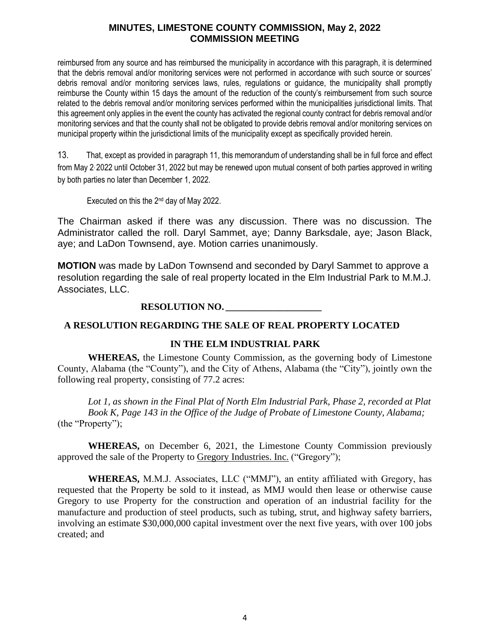reimbursed from any source and has reimbursed the municipality in accordance with this paragraph, it is determined that the debris removal and/or monitoring services were not performed in accordance with such source or sources' debris removal and/or monitoring services laws, rules, regulations or guidance, the municipality shall promptly reimburse the County within 15 days the amount of the reduction of the county's reimbursement from such source related to the debris removal and/or monitoring services performed within the municipalities jurisdictional limits. That this agreement only applies in the event the county has activated the regional county contract for debris removal and/or monitoring services and that the county shall not be obligated to provide debris removal and/or monitoring services on municipal property within the jurisdictional limits of the municipality except as specifically provided herein.

13. That, except as provided in paragraph 11, this memorandum of understanding shall be in full force and effect from May 2, 2022 until October 31, 2022 but may be renewed upon mutual consent of both parties approved in writing by both parties no later than December 1, 2022.

Executed on this the 2nd day of May 2022.

The Chairman asked if there was any discussion. There was no discussion. The Administrator called the roll. Daryl Sammet, aye; Danny Barksdale, aye; Jason Black, aye; and LaDon Townsend, aye. Motion carries unanimously.

**MOTION** was made by LaDon Townsend and seconded by Daryl Sammet to approve a resolution regarding the sale of real property located in the Elm Industrial Park to M.M.J. Associates, LLC.

# **RESOLUTION NO. \_\_\_\_\_\_\_\_\_\_\_\_\_\_\_\_\_\_\_\_**

#### **A RESOLUTION REGARDING THE SALE OF REAL PROPERTY LOCATED**

#### **IN THE ELM INDUSTRIAL PARK**

**WHEREAS,** the Limestone County Commission, as the governing body of Limestone County, Alabama (the "County"), and the City of Athens, Alabama (the "City"), jointly own the following real property, consisting of 77.2 acres:

*Lot 1, as shown in the Final Plat of North Elm Industrial Park, Phase 2, recorded at Plat Book K, Page 143 in the Office of the Judge of Probate of Limestone County, Alabama;* (the "Property");

**WHEREAS,** on December 6, 2021, the Limestone County Commission previously approved the sale of the Property to Gregory Industries. Inc. ("Gregory");

**WHEREAS,** M.M.J. Associates, LLC ("MMJ"), an entity affiliated with Gregory, has requested that the Property be sold to it instead, as MMJ would then lease or otherwise cause Gregory to use Property for the construction and operation of an industrial facility for the manufacture and production of steel products, such as tubing, strut, and highway safety barriers, involving an estimate \$30,000,000 capital investment over the next five years, with over 100 jobs created; and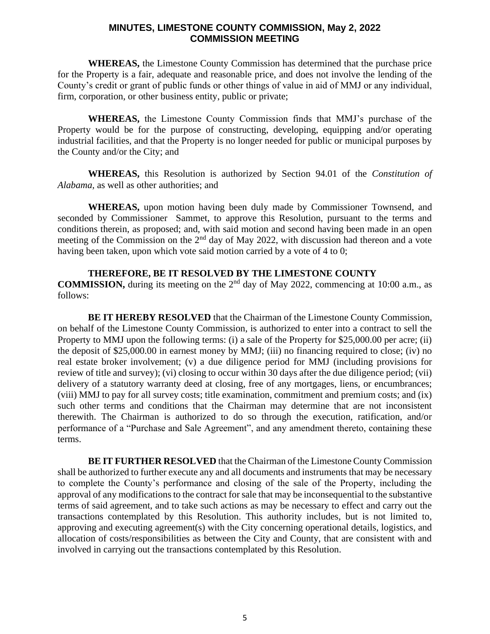**WHEREAS,** the Limestone County Commission has determined that the purchase price for the Property is a fair, adequate and reasonable price, and does not involve the lending of the County's credit or grant of public funds or other things of value in aid of MMJ or any individual, firm, corporation, or other business entity, public or private;

**WHEREAS,** the Limestone County Commission finds that MMJ's purchase of the Property would be for the purpose of constructing, developing, equipping and/or operating industrial facilities, and that the Property is no longer needed for public or municipal purposes by the County and/or the City; and

**WHEREAS,** this Resolution is authorized by Section 94.01 of the *Constitution of Alabama,* as well as other authorities; and

**WHEREAS,** upon motion having been duly made by Commissioner Townsend, and seconded by Commissioner Sammet, to approve this Resolution, pursuant to the terms and conditions therein, as proposed; and, with said motion and second having been made in an open meeting of the Commission on the  $2<sup>nd</sup>$  day of May 2022, with discussion had thereon and a vote having been taken, upon which vote said motion carried by a vote of 4 to 0;

#### **THEREFORE, BE IT RESOLVED BY THE LIMESTONE COUNTY**

**COMMISSION,** during its meeting on the 2<sup>nd</sup> day of May 2022, commencing at 10:00 a.m., as follows:

**BE IT HEREBY RESOLVED** that the Chairman of the Limestone County Commission, on behalf of the Limestone County Commission, is authorized to enter into a contract to sell the Property to MMJ upon the following terms: (i) a sale of the Property for \$25,000.00 per acre; (ii) the deposit of \$25,000.00 in earnest money by MMJ; (iii) no financing required to close; (iv) no real estate broker involvement; (v) a due diligence period for MMJ (including provisions for review of title and survey); (vi) closing to occur within 30 days after the due diligence period; (vii) delivery of a statutory warranty deed at closing, free of any mortgages, liens, or encumbrances; (viii) MMJ to pay for all survey costs; title examination, commitment and premium costs; and (ix) such other terms and conditions that the Chairman may determine that are not inconsistent therewith. The Chairman is authorized to do so through the execution, ratification, and/or performance of a "Purchase and Sale Agreement", and any amendment thereto, containing these terms.

**BE IT FURTHER RESOLVED** that the Chairman of the Limestone County Commission shall be authorized to further execute any and all documents and instruments that may be necessary to complete the County's performance and closing of the sale of the Property, including the approval of any modifications to the contract for sale that may be inconsequential to the substantive terms of said agreement, and to take such actions as may be necessary to effect and carry out the transactions contemplated by this Resolution. This authority includes, but is not limited to, approving and executing agreement(s) with the City concerning operational details, logistics, and allocation of costs/responsibilities as between the City and County, that are consistent with and involved in carrying out the transactions contemplated by this Resolution.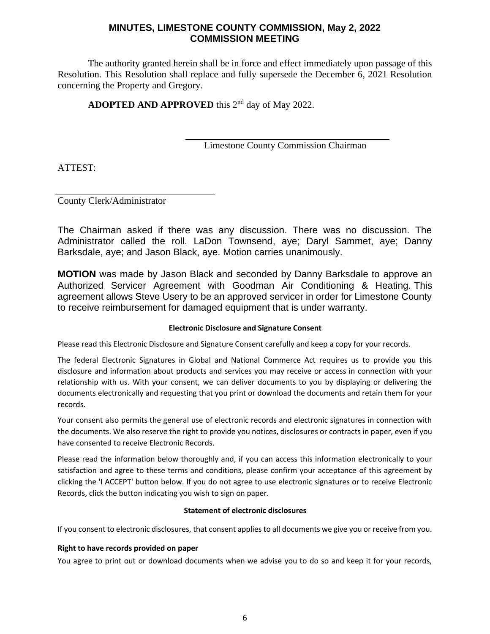The authority granted herein shall be in force and effect immediately upon passage of this Resolution. This Resolution shall replace and fully supersede the December 6, 2021 Resolution concerning the Property and Gregory.

**ADOPTED AND APPROVED** this 2nd day of May 2022.

Limestone County Commission Chairman

ATTEST:

County Clerk/Administrator

The Chairman asked if there was any discussion. There was no discussion. The Administrator called the roll. LaDon Townsend, aye; Daryl Sammet, aye; Danny Barksdale, aye; and Jason Black, aye. Motion carries unanimously.

**MOTION** was made by Jason Black and seconded by Danny Barksdale to approve an Authorized Servicer Agreement with Goodman Air Conditioning & Heating. This agreement allows Steve Usery to be an approved servicer in order for Limestone County to receive reimbursement for damaged equipment that is under warranty.

#### **Electronic Disclosure and Signature Consent**

Please read this Electronic Disclosure and Signature Consent carefully and keep a copy for your records.

The federal Electronic Signatures in Global and National Commerce Act requires us to provide you this disclosure and information about products and services you may receive or access in connection with your relationship with us. With your consent, we can deliver documents to you by displaying or delivering the documents electronically and requesting that you print or download the documents and retain them for your records.

Your consent also permits the general use of electronic records and electronic signatures in connection with the documents. We also reserve the right to provide you notices, disclosures or contracts in paper, even if you have consented to receive Electronic Records.

Please read the information below thoroughly and, if you can access this information electronically to your satisfaction and agree to these terms and conditions, please confirm your acceptance of this agreement by clicking the 'I ACCEPT' button below. If you do not agree to use electronic signatures or to receive Electronic Records, click the button indicating you wish to sign on paper.

#### **Statement of electronic disclosures**

If you consent to electronic disclosures, that consent applies to all documents we give you or receive from you.

#### **Right to have records provided on paper**

You agree to print out or download documents when we advise you to do so and keep it for your records,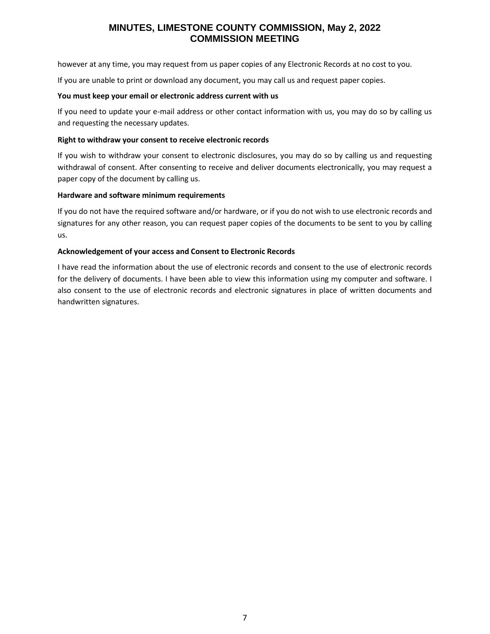however at any time, you may request from us paper copies of any Electronic Records at no cost to you.

If you are unable to print or download any document, you may call us and request paper copies.

#### **You must keep your email or electronic address current with us**

If you need to update your e-mail address or other contact information with us, you may do so by calling us and requesting the necessary updates.

#### **Right to withdraw your consent to receive electronic records**

If you wish to withdraw your consent to electronic disclosures, you may do so by calling us and requesting withdrawal of consent. After consenting to receive and deliver documents electronically, you may request a paper copy of the document by calling us.

#### **Hardware and software minimum requirements**

If you do not have the required software and/or hardware, or if you do not wish to use electronic records and signatures for any other reason, you can request paper copies of the documents to be sent to you by calling us.

#### **Acknowledgement of your access and Consent to Electronic Records**

I have read the information about the use of electronic records and consent to the use of electronic records for the delivery of documents. I have been able to view this information using my computer and software. I also consent to the use of electronic records and electronic signatures in place of written documents and handwritten signatures.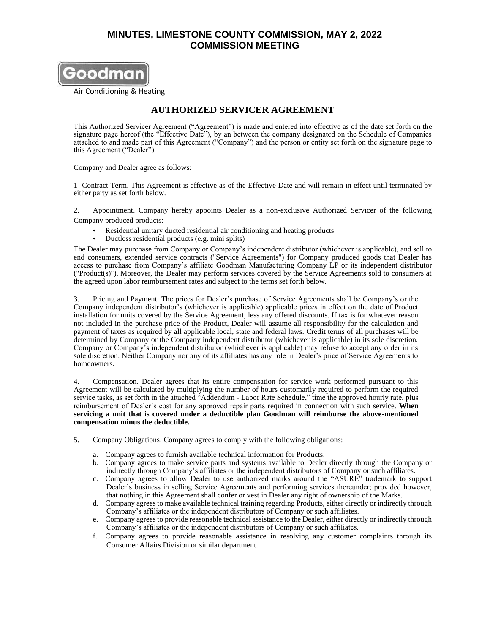

Air Conditioning & Heating

#### **AUTHORIZED SERVICER AGREEMENT**

This Authorized Servicer Agreement ("Agreement") is made and entered into effective as of the date set forth on the signature page hereof (the "Effective Date"), by an between the company designated on the Schedule of Companies attached to and made part of this Agreement ("Company") and the person or entity set forth on the signature page to this Agreement ("Dealer").

Company and Dealer agree as follows:

1 Contract Term. This Agreement is effective as of the Effective Date and will remain in effect until terminated by either party as set forth below.

2. Appointment. Company hereby appoints Dealer as a non-exclusive Authorized Servicer of the following Company produced products:

- Residential unitary ducted residential air conditioning and heating products
- Ductless residential products (e.g. mini splits)

The Dealer may purchase from Company or Company's independent distributor (whichever is applicable), and sell to end consumers, extended service contracts ("Service Agreements") for Company produced goods that Dealer has access to purchase from Company's affiliate Goodman Manufacturing Company LP or its independent distributor ("Product(s)"). Moreover, the Dealer may perform services covered by the Service Agreements sold to consumers at the agreed upon labor reimbursement rates and subject to the terms set forth below.

3. Pricing and Payment. The prices for Dealer's purchase of Service Agreements shall be Company's or the Company independent distributor's (whichever is applicable) applicable prices in effect on the date of Product installation for units covered by the Service Agreement, less any offered discounts. If tax is for whatever reason not included in the purchase price of the Product, Dealer will assume all responsibility for the calculation and payment of taxes as required by all applicable local, state and federal laws. Credit terms of all purchases will be determined by Company or the Company independent distributor (whichever is applicable) in its sole discretion. Company or Company's independent distributor (whichever is applicable) may refuse to accept any order in its sole discretion. Neither Company nor any of its affiliates has any role in Dealer's price of Service Agreements to homeowners.

4. Compensation. Dealer agrees that its entire compensation for service work performed pursuant to this Agreement will be calculated by multiplying the number of hours customarily required to perform the required service tasks, as set forth in the attached "Addendum - Labor Rate Schedule," time the approved hourly rate, plus reimbursement of Dealer's cost for any approved repair parts required in connection with such service. **When servicing a unit that is covered under a deductible plan Goodman will reimburse the above-mentioned compensation minus the deductible.**

- 5. Company Obligations. Company agrees to comply with the following obligations:
	- a. Company agrees to furnish available technical information for Products.
	- b. Company agrees to make service parts and systems available to Dealer directly through the Company or indirectly through Company's affiliates or the independent distributors of Company or such affiliates.
	- c. Company agrees to allow Dealer to use authorized marks around the "ASURE" trademark to support Dealer's business in selling Service Agreements and performing services thereunder; provided however, that nothing in this Agreement shall confer or vest in Dealer any right of ownership of the Marks.
	- d. Company agrees to make available technical training regarding Products, either directly or indirectly through Company's affiliates or the independent distributors of Company or such affiliates.
	- e. Company agrees to provide reasonable technical assistance to the Dealer, either directly or indirectly through Company's affiliates or the independent distributors of Company or such affiliates.
	- f. Company agrees to provide reasonable assistance in resolving any customer complaints through its Consumer Affairs Division or similar department.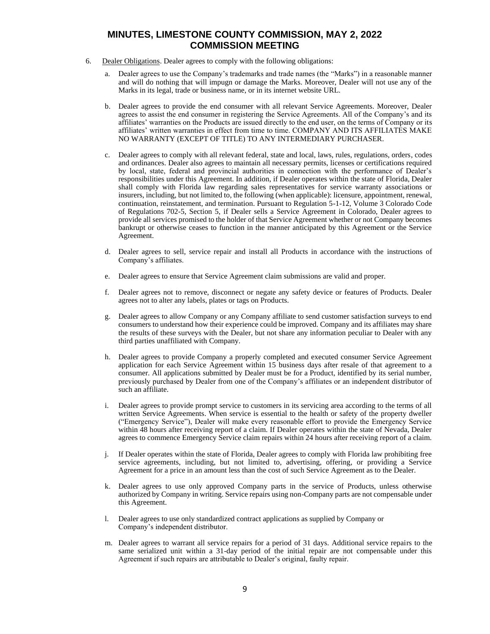- 6. Dealer Obligations. Dealer agrees to comply with the following obligations:
	- a. Dealer agrees to use the Company's trademarks and trade names (the "Marks") in a reasonable manner and will do nothing that will impugn or damage the Marks. Moreover, Dealer will not use any of the Marks in its legal, trade or business name, or in its internet website URL.
	- b. Dealer agrees to provide the end consumer with all relevant Service Agreements. Moreover, Dealer agrees to assist the end consumer in registering the Service Agreements. All of the Company's and its affiliates' warranties on the Products are issued directly to the end user, on the terms of Company or its affiliates' written warranties in effect from time to time. COMPANY AND ITS AFFILIATES MAKE NO WARRANTY (EXCEPT OF TITLE) TO ANY INTERMEDIARY PURCHASER.
	- c. Dealer agrees to comply with all relevant federal, state and local, laws, rules, regulations, orders, codes and ordinances. Dealer also agrees to maintain all necessary permits, licenses or certifications required by local, state, federal and provincial authorities in connection with the performance of Dealer's responsibilities under this Agreement. In addition, if Dealer operates within the state of Florida, Dealer shall comply with Florida law regarding sales representatives for service warranty associations or insurers, including, but not limited to, the following (when applicable): licensure, appointment, renewal, continuation, reinstatement, and termination. Pursuant to Regulation 5-1-12, Volume 3 Colorado Code of Regulations 702-5, Section 5, if Dealer sells a Service Agreement in Colorado, Dealer agrees to provide all services promised to the holder of that Service Agreement whether or not Company becomes bankrupt or otherwise ceases to function in the manner anticipated by this Agreement or the Service Agreement.
	- d. Dealer agrees to sell, service repair and install all Products in accordance with the instructions of Company's affiliates.
	- e. Dealer agrees to ensure that Service Agreement claim submissions are valid and proper.
	- f. Dealer agrees not to remove, disconnect or negate any safety device or features of Products. Dealer agrees not to alter any labels, plates or tags on Products.
	- g. Dealer agrees to allow Company or any Company affiliate to send customer satisfaction surveys to end consumers to understand how their experience could be improved. Company and its affiliates may share the results of these surveys with the Dealer, but not share any information peculiar to Dealer with any third parties unaffiliated with Company.
	- h. Dealer agrees to provide Company a properly completed and executed consumer Service Agreement application for each Service Agreement within 15 business days after resale of that agreement to a consumer. All applications submitted by Dealer must be for a Product, identified by its serial number, previously purchased by Dealer from one of the Company's affiliates or an independent distributor of such an affiliate.
	- i. Dealer agrees to provide prompt service to customers in its servicing area according to the terms of all written Service Agreements. When service is essential to the health or safety of the property dweller ("Emergency Service"), Dealer will make every reasonable effort to provide the Emergency Service within 48 hours after receiving report of a claim. If Dealer operates within the state of Nevada, Dealer agrees to commence Emergency Service claim repairs within 24 hours after receiving report of a claim.
	- j. If Dealer operates within the state of Florida, Dealer agrees to comply with Florida law prohibiting free service agreements, including, but not limited to, advertising, offering, or providing a Service Agreement for a price in an amount less than the cost of such Service Agreement as to the Dealer.
	- k. Dealer agrees to use only approved Company parts in the service of Products, unless otherwise authorized by Company in writing. Service repairs using non-Company parts are not compensable under this Agreement.
	- l. Dealer agrees to use only standardized contract applications as supplied by Company or Company's independent distributor.
	- m. Dealer agrees to warrant all service repairs for a period of 31 days. Additional service repairs to the same serialized unit within a 31-day period of the initial repair are not compensable under this Agreement if such repairs are attributable to Dealer's original, faulty repair.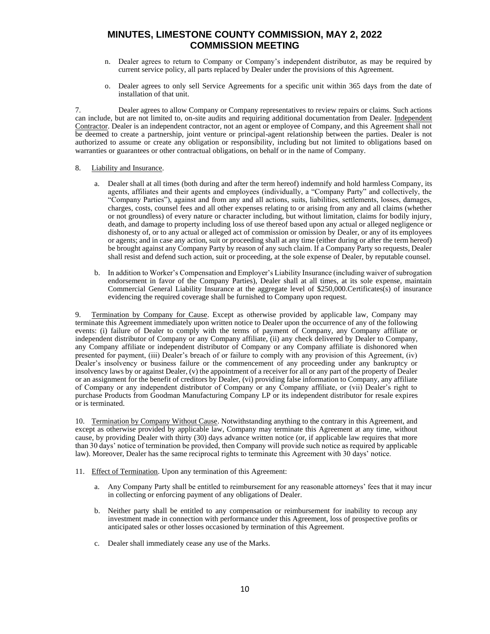- n. Dealer agrees to return to Company or Company's independent distributor, as may be required by current service policy, all parts replaced by Dealer under the provisions of this Agreement.
- o. Dealer agrees to only sell Service Agreements for a specific unit within 365 days from the date of installation of that unit.

7. Dealer agrees to allow Company or Company representatives to review repairs or claims. Such actions can include, but are not limited to, on-site audits and requiring additional documentation from Dealer. Independent Contractor. Dealer is an independent contractor, not an agent or employee of Company, and this Agreement shall not be deemed to create a partnership, joint venture or principal-agent relationship between the parties. Dealer is not authorized to assume or create any obligation or responsibility, including but not limited to obligations based on warranties or guarantees or other contractual obligations, on behalf or in the name of Company.

#### 8. Liability and Insurance.

- a. Dealer shall at all times (both during and after the term hereof) indemnify and hold harmless Company, its agents, affiliates and their agents and employees (individually, a "Company Party" and collectively, the "Company Parties"), against and from any and all actions, suits, liabilities, settlements, losses, damages, charges, costs, counsel fees and all other expenses relating to or arising from any and all claims (whether or not groundless) of every nature or character including, but without limitation, claims for bodily injury, death, and damage to property including loss of use thereof based upon any actual or alleged negligence or dishonesty of, or to any actual or alleged act of commission or omission by Dealer, or any of its employees or agents; and in case any action, suit or proceeding shall at any time (either during or after the term hereof) be brought against any Company Party by reason of any such claim. If a Company Party so requests, Dealer shall resist and defend such action, suit or proceeding, at the sole expense of Dealer, by reputable counsel.
- b. In addition to Worker's Compensation and Employer's Liability Insurance (including waiver of subrogation endorsement in favor of the Company Parties), Dealer shall at all times, at its sole expense, maintain Commercial General Liability Insurance at the aggregate level of \$250,000.Certificates(s) of insurance evidencing the required coverage shall be furnished to Company upon request.

9. Termination by Company for Cause. Except as otherwise provided by applicable law, Company may terminate this Agreement immediately upon written notice to Dealer upon the occurrence of any of the following events: (i) failure of Dealer to comply with the terms of payment of Company, any Company affiliate or independent distributor of Company or any Company affiliate, (ii) any check delivered by Dealer to Company, any Company affiliate or independent distributor of Company or any Company affiliate is dishonored when presented for payment, (iii) Dealer's breach of or failure to comply with any provision of this Agreement, (iv) Dealer's insolvency or business failure or the commencement of any proceeding under any bankruptcy or insolvency laws by or against Dealer, (v) the appointment of a receiver for all or any part of the property of Dealer or an assignment for the benefit of creditors by Dealer, (vi) providing false information to Company, any affiliate of Company or any independent distributor of Company or any Company affiliate, or (vii) Dealer's right to purchase Products from Goodman Manufacturing Company LP or its independent distributor for resale expires or is terminated.

10. Termination by Company Without Cause. Notwithstanding anything to the contrary in this Agreement, and except as otherwise provided by applicable law, Company may terminate this Agreement at any time, without cause, by providing Dealer with thirty (30) days advance written notice (or, if applicable law requires that more than 30 days' notice of termination be provided, then Company will provide such notice as required by applicable law). Moreover, Dealer has the same reciprocal rights to terminate this Agreement with 30 days' notice.

- 11. Effect of Termination. Upon any termination of this Agreement:
	- a. Any Company Party shall be entitled to reimbursement for any reasonable attorneys' fees that it may incur in collecting or enforcing payment of any obligations of Dealer.
	- b. Neither party shall be entitled to any compensation or reimbursement for inability to recoup any investment made in connection with performance under this Agreement, loss of prospective profits or anticipated sales or other losses occasioned by termination of this Agreement.
	- c. Dealer shall immediately cease any use of the Marks.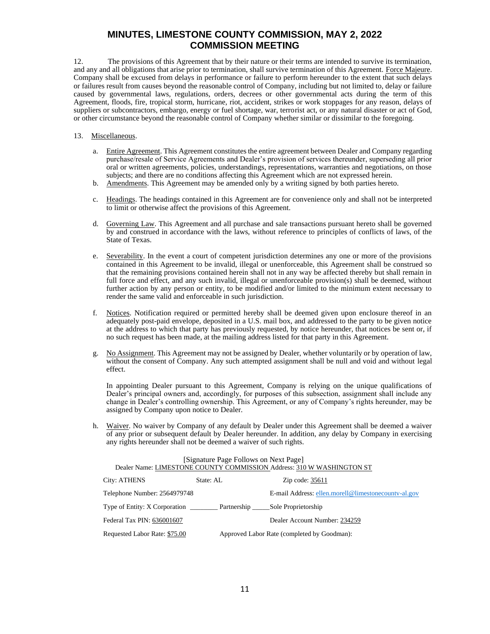12. The provisions of this Agreement that by their nature or their terms are intended to survive its termination, and any and all obligations that arise prior to termination, shall survive termination of this Agreement. Force Majeure. Company shall be excused from delays in performance or failure to perform hereunder to the extent that such delays or failures result from causes beyond the reasonable control of Company, including but not limited to, delay or failure caused by governmental laws, regulations, orders, decrees or other governmental acts during the term of this Agreement, floods, fire, tropical storm, hurricane, riot, accident, strikes or work stoppages for any reason, delays of suppliers or subcontractors, embargo, energy or fuel shortage, war, terrorist act, or any natural disaster or act of God, or other circumstance beyond the reasonable control of Company whether similar or dissimilar to the foregoing.

#### 13. Miscellaneous.

- a. Entire Agreement. This Agreement constitutes the entire agreement between Dealer and Company regarding purchase/resale of Service Agreements and Dealer's provision of services thereunder, superseding all prior oral or written agreements, policies, understandings, representations, warranties and negotiations, on those subjects; and there are no conditions affecting this Agreement which are not expressed herein.
- b. Amendments. This Agreement may be amended only by a writing signed by both parties hereto.
- c. Headings. The headings contained in this Agreement are for convenience only and shall not be interpreted to limit or otherwise affect the provisions of this Agreement.
- d. Governing Law. This Agreement and all purchase and sale transactions pursuant hereto shall be governed by and construed in accordance with the laws, without reference to principles of conflicts of laws, of the State of Texas.
- e. Severability. In the event a court of competent jurisdiction determines any one or more of the provisions contained in this Agreement to be invalid, illegal or unenforceable, this Agreement shall be construed so that the remaining provisions contained herein shall not in any way be affected thereby but shall remain in full force and effect, and any such invalid, illegal or unenforceable provision(s) shall be deemed, without further action by any person or entity, to be modified and/or limited to the minimum extent necessary to render the same valid and enforceable in such jurisdiction.
- f. Notices. Notification required or permitted hereby shall be deemed given upon enclosure thereof in an adequately post-paid envelope, deposited in a U.S. mail box, and addressed to the party to be given notice at the address to which that party has previously requested, by notice hereunder, that notices be sent or, if no such request has been made, at the mailing address listed for that party in this Agreement.
- g. No Assignment. This Agreement may not be assigned by Dealer, whether voluntarily or by operation of law, without the consent of Company. Any such attempted assignment shall be null and void and without legal effect.

In appointing Dealer pursuant to this Agreement, Company is relying on the unique qualifications of Dealer's principal owners and, accordingly, for purposes of this subsection, assignment shall include any change in Dealer's controlling ownership. This Agreement, or any of Company's rights hereunder, may be assigned by Company upon notice to Dealer.

h. Waiver. No waiver by Company of any default by Dealer under this Agreement shall be deemed a waiver of any prior or subsequent default by Dealer hereunder. In addition, any delay by Company in exercising any rights hereunder shall not be deemed a waiver of such rights.

| [Signature Page Follows on Next Page]<br>Dealer Name: LIMESTONE COUNTY COMMISSION Address: 310 W WASHINGTON ST |           |                                                     |  |  |  |
|----------------------------------------------------------------------------------------------------------------|-----------|-----------------------------------------------------|--|--|--|
| City: ATHENS                                                                                                   | State: AL | Zip code: 35611                                     |  |  |  |
| Telephone Number: 2564979748                                                                                   |           | E-mail Address: ellen.morell@limestonecounty-al.gov |  |  |  |
| Type of Entity: X Corporation Partnership Sole Proprietorship                                                  |           |                                                     |  |  |  |
| Federal Tax PIN: 636001607                                                                                     |           | Dealer Account Number: 234259                       |  |  |  |
| Requested Labor Rate: \$75.00                                                                                  |           | Approved Labor Rate (completed by Goodman):         |  |  |  |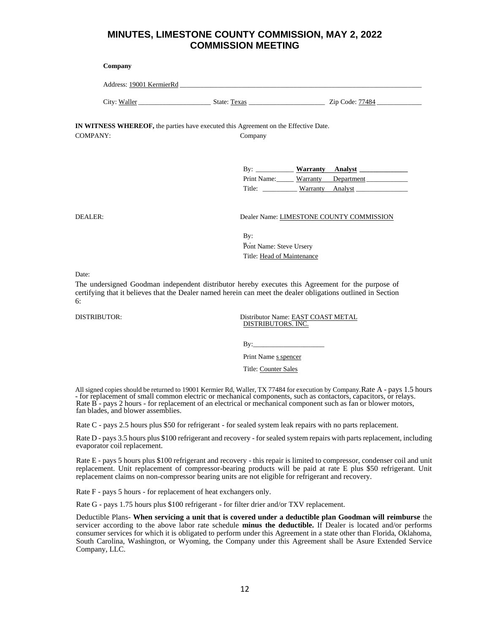#### **Company**

| 19001 KermierRd<br>Address: |  |
|-----------------------------|--|
|                             |  |

| <b>TTI</b>           |                | --                    |
|----------------------|----------------|-----------------------|
| City<br>aller<br>W 9 | Fexas<br>State | 7484<br>'.ID<br>.oder |

**IN WITNESS WHEREOF,** the parties have executed this Agreement on the Effective Date. COMPANY: Company

| $\mathbf{B} \mathbf{v}$ :       |                  | Warranty Analyst |
|---------------------------------|------------------|------------------|
| Print Name: Warranty Department |                  |                  |
| Title:                          | Warranty Analyst |                  |

DEALER: Dealer Name: LIMESTONE COUNTY COMMISSION

By: b<sub>y</sub>.<br>Pont Name: Steve Ursery Title: Head of Maintenance

Date:

The undersigned Goodman independent distributor hereby executes this Agreement for the purpose of certifying that it believes that the Dealer named herein can meet the dealer obligations outlined in Section 6:

DISTRIBUTOR: Distributor Name: EAST COAST METAL DISTRIBUTORS. INC.

 $By:$ 

Print Name s spencer

Title: Counter Sales

All signed copies should be returned to 19001 Kermier Rd, Waller, TX 77484 for execution by Company.Rate A - pays 1.5 hours - for replacement of small common electric or mechanical components, such as contactors, capacitors, or relays. Rate B - pays 2 hours - for replacement of an electrical or mechanical component such as fan or blower motors, fan blades, and blower assemblies.

Rate C - pays 2.5 hours plus \$50 for refrigerant - for sealed system leak repairs with no parts replacement.

Rate D - pays 3.5 hours plus \$100 refrigerant and recovery - for sealed system repairs with parts replacement, including evaporator coil replacement.

Rate E - pays 5 hours plus \$100 refrigerant and recovery - this repair is limited to compressor, condenser coil and unit replacement. Unit replacement of compressor-bearing products will be paid at rate E plus \$50 refrigerant. Unit replacement claims on non-compressor bearing units are not eligible for refrigerant and recovery.

Rate F - pays 5 hours - for replacement of heat exchangers only.

Rate G - pays 1.75 hours plus \$100 refrigerant - for filter drier and/or TXV replacement.

Deductible Plans- **When servicing a unit that is covered under a deductible plan Goodman will reimburse** the servicer according to the above labor rate schedule **minus the deductible.** If Dealer is located and/or performs consumer services for which it is obligated to perform under this Agreement in a state other than Florida, Oklahoma, South Carolina, Washington, or Wyoming, the Company under this Agreement shall be Asure Extended Service Company, LLC.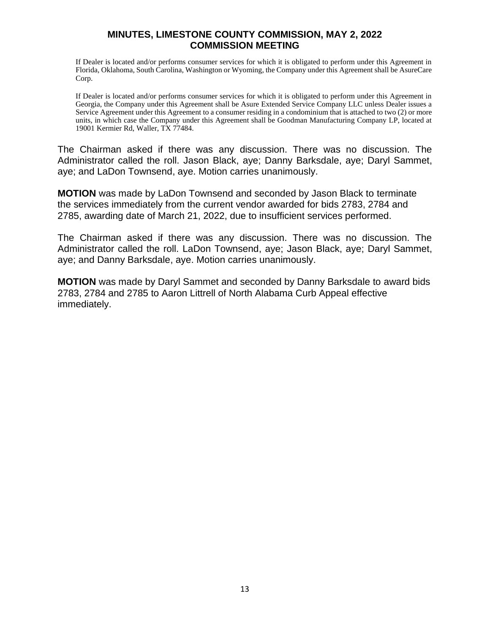If Dealer is located and/or performs consumer services for which it is obligated to perform under this Agreement in Florida, Oklahoma, South Carolina, Washington or Wyoming, the Company under this Agreement shall be AsureCare Corp.

If Dealer is located and/or performs consumer services for which it is obligated to perform under this Agreement in Georgia, the Company under this Agreement shall be Asure Extended Service Company LLC unless Dealer issues a Service Agreement under this Agreement to a consumer residing in a condominium that is attached to two (2) or more units, in which case the Company under this Agreement shall be Goodman Manufacturing Company LP, located at 19001 Kermier Rd, Waller, TX 77484.

The Chairman asked if there was any discussion. There was no discussion. The Administrator called the roll. Jason Black, aye; Danny Barksdale, aye; Daryl Sammet, aye; and LaDon Townsend, aye. Motion carries unanimously.

**MOTION** was made by LaDon Townsend and seconded by Jason Black to terminate the services immediately from the current vendor awarded for bids 2783, 2784 and 2785, awarding date of March 21, 2022, due to insufficient services performed.

The Chairman asked if there was any discussion. There was no discussion. The Administrator called the roll. LaDon Townsend, aye; Jason Black, aye; Daryl Sammet, aye; and Danny Barksdale, aye. Motion carries unanimously.

**MOTION** was made by Daryl Sammet and seconded by Danny Barksdale to award bids 2783, 2784 and 2785 to Aaron Littrell of North Alabama Curb Appeal effective immediately.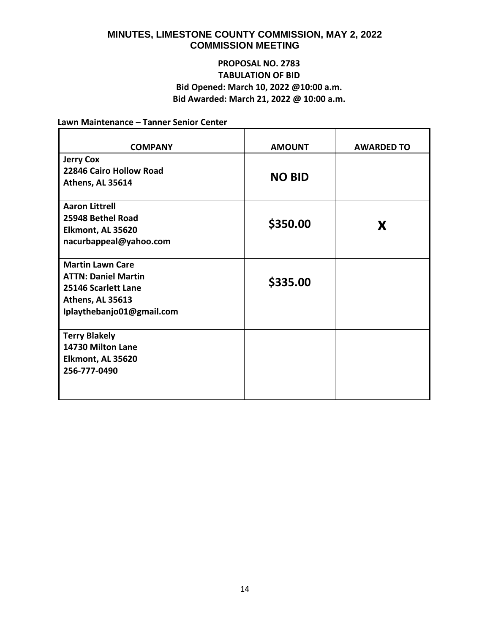# **PROPOSAL NO. 2783 TABULATION OF BID Bid Opened: March 10, 2022 @10:00 a.m. Bid Awarded: March 21, 2022 @ 10:00 a.m.**

#### **Lawn Maintenance – Tanner Senior Center**

| <b>COMPANY</b>                                                                                                                | <b>AMOUNT</b> | <b>AWARDED TO</b> |
|-------------------------------------------------------------------------------------------------------------------------------|---------------|-------------------|
| <b>Jerry Cox</b><br>22846 Cairo Hollow Road<br>Athens, AL 35614                                                               | <b>NO BID</b> |                   |
| <b>Aaron Littrell</b><br>25948 Bethel Road<br>Elkmont, AL 35620<br>nacurbappeal@yahoo.com                                     | \$350.00      | X                 |
| <b>Martin Lawn Care</b><br><b>ATTN: Daniel Martin</b><br>25146 Scarlett Lane<br>Athens, AL 35613<br>Iplaythebanjo01@gmail.com | \$335.00      |                   |
| <b>Terry Blakely</b><br>14730 Milton Lane<br>Elkmont, AL 35620<br>256-777-0490                                                |               |                   |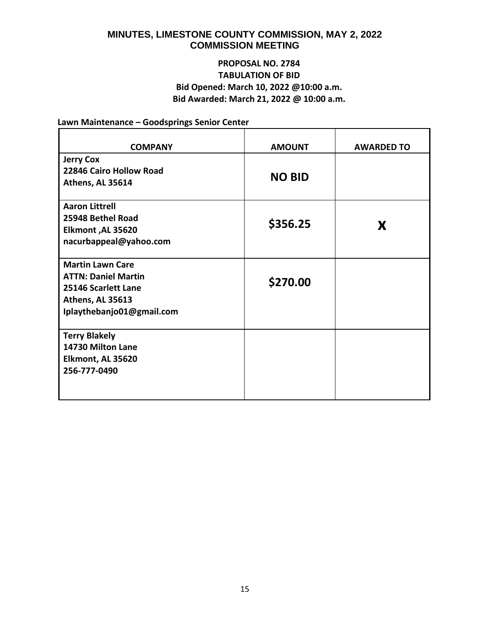# **PROPOSAL NO. 2784 TABULATION OF BID Bid Opened: March 10, 2022 @10:00 a.m. Bid Awarded: March 21, 2022 @ 10:00 a.m.**

**Lawn Maintenance – Goodsprings Senior Center**

| <b>COMPANY</b>                                                                                                                | <b>AMOUNT</b> | <b>AWARDED TO</b> |
|-------------------------------------------------------------------------------------------------------------------------------|---------------|-------------------|
| <b>Jerry Cox</b><br>22846 Cairo Hollow Road<br>Athens, AL 35614                                                               | <b>NO BID</b> |                   |
| <b>Aaron Littrell</b><br>25948 Bethel Road<br>Elkmont, AL 35620<br>nacurbappeal@yahoo.com                                     | \$356.25      | X                 |
| <b>Martin Lawn Care</b><br><b>ATTN: Daniel Martin</b><br>25146 Scarlett Lane<br>Athens, AL 35613<br>Iplaythebanjo01@gmail.com | \$270.00      |                   |
| <b>Terry Blakely</b><br>14730 Milton Lane<br>Elkmont, AL 35620<br>256-777-0490                                                |               |                   |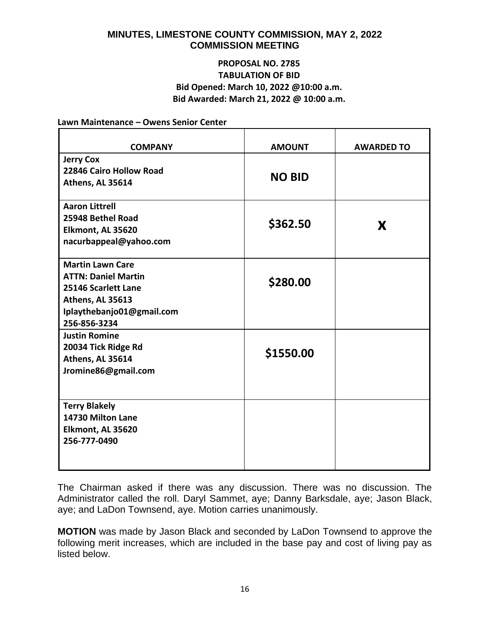# **PROPOSAL NO. 2785 TABULATION OF BID Bid Opened: March 10, 2022 @10:00 a.m. Bid Awarded: March 21, 2022 @ 10:00 a.m.**

**Lawn Maintenance – Owens Senior Center**

| <b>COMPANY</b>                                                                                                                                | <b>AMOUNT</b> | <b>AWARDED TO</b> |
|-----------------------------------------------------------------------------------------------------------------------------------------------|---------------|-------------------|
| <b>Jerry Cox</b><br>22846 Cairo Hollow Road<br>Athens, AL 35614                                                                               | <b>NO BID</b> |                   |
| <b>Aaron Littrell</b><br>25948 Bethel Road<br>Elkmont, AL 35620<br>nacurbappeal@yahoo.com                                                     | \$362.50      | X                 |
| <b>Martin Lawn Care</b><br><b>ATTN: Daniel Martin</b><br>25146 Scarlett Lane<br>Athens, AL 35613<br>Iplaythebanjo01@gmail.com<br>256-856-3234 | \$280.00      |                   |
| <b>Justin Romine</b><br>20034 Tick Ridge Rd<br>Athens, AL 35614<br>Jromine86@gmail.com                                                        | \$1550.00     |                   |
| <b>Terry Blakely</b><br>14730 Milton Lane<br>Elkmont, AL 35620<br>256-777-0490                                                                |               |                   |

The Chairman asked if there was any discussion. There was no discussion. The Administrator called the roll. Daryl Sammet, aye; Danny Barksdale, aye; Jason Black, aye; and LaDon Townsend, aye. Motion carries unanimously.

**MOTION** was made by Jason Black and seconded by LaDon Townsend to approve the following merit increases, which are included in the base pay and cost of living pay as listed below.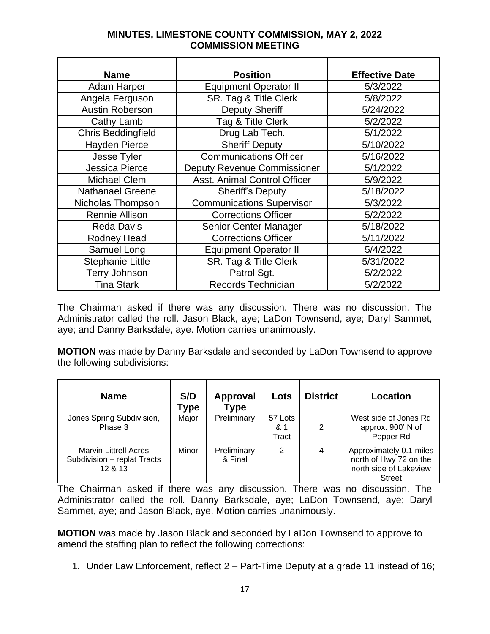| <b>Name</b>               | <b>Position</b>                    | <b>Effective Date</b> |
|---------------------------|------------------------------------|-----------------------|
| Adam Harper               | <b>Equipment Operator II</b>       | 5/3/2022              |
| Angela Ferguson           | SR. Tag & Title Clerk              | 5/8/2022              |
| <b>Austin Roberson</b>    | <b>Deputy Sheriff</b>              | 5/24/2022             |
| Cathy Lamb                | Tag & Title Clerk                  | 5/2/2022              |
| <b>Chris Beddingfield</b> | Drug Lab Tech.                     | 5/1/2022              |
| <b>Hayden Pierce</b>      | <b>Sheriff Deputy</b>              | 5/10/2022             |
| Jesse Tyler               | <b>Communications Officer</b>      | 5/16/2022             |
| Jessica Pierce            | <b>Deputy Revenue Commissioner</b> | 5/1/2022              |
| <b>Michael Clem</b>       | Asst. Animal Control Officer       | 5/9/2022              |
| <b>Nathanael Greene</b>   | <b>Sheriff's Deputy</b>            | 5/18/2022             |
| Nicholas Thompson         | <b>Communications Supervisor</b>   | 5/3/2022              |
| <b>Rennie Allison</b>     | <b>Corrections Officer</b>         | 5/2/2022              |
| <b>Reda Davis</b>         | Senior Center Manager              | 5/18/2022             |
| Rodney Head               | <b>Corrections Officer</b>         | 5/11/2022             |
| Samuel Long               | <b>Equipment Operator II</b>       | 5/4/2022              |
| <b>Stephanie Little</b>   | SR. Tag & Title Clerk              | 5/31/2022             |
| <b>Terry Johnson</b>      | Patrol Sgt.                        | 5/2/2022              |
| <b>Tina Stark</b>         | <b>Records Technician</b>          | 5/2/2022              |

The Chairman asked if there was any discussion. There was no discussion. The Administrator called the roll. Jason Black, aye; LaDon Townsend, aye; Daryl Sammet, aye; and Danny Barksdale, aye. Motion carries unanimously.

**MOTION** was made by Danny Barksdale and seconded by LaDon Townsend to approve the following subdivisions:

| <b>Name</b>                                                            | S/D<br>Гуре | <b>Approval</b><br><b>Type</b> | Lots                    | <b>District</b> | Location                                                                                     |
|------------------------------------------------------------------------|-------------|--------------------------------|-------------------------|-----------------|----------------------------------------------------------------------------------------------|
| Jones Spring Subdivision,<br>Phase 3                                   | Major       | Preliminary                    | 57 Lots<br>& 1<br>Tract | 2               | West side of Jones Rd<br>approx. 900' N of<br>Pepper Rd                                      |
| <b>Marvin Littrell Acres</b><br>Subdivision - replat Tracts<br>12 & 13 | Minor       | Preliminary<br>& Final         | 2                       | 4               | Approximately 0.1 miles<br>north of Hwy 72 on the<br>north side of Lakeview<br><b>Street</b> |

The Chairman asked if there was any discussion. There was no discussion. The Administrator called the roll. Danny Barksdale, aye; LaDon Townsend, aye; Daryl Sammet, aye; and Jason Black, aye. Motion carries unanimously.

**MOTION** was made by Jason Black and seconded by LaDon Townsend to approve to amend the staffing plan to reflect the following corrections:

1. Under Law Enforcement, reflect 2 – Part-Time Deputy at a grade 11 instead of 16;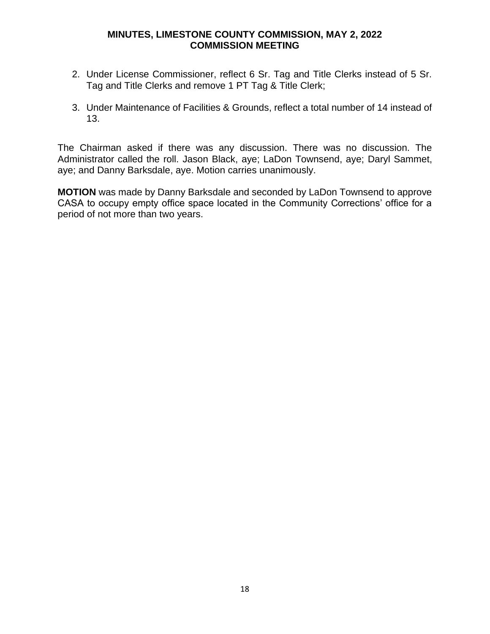- 2. Under License Commissioner, reflect 6 Sr. Tag and Title Clerks instead of 5 Sr. Tag and Title Clerks and remove 1 PT Tag & Title Clerk;
- 3. Under Maintenance of Facilities & Grounds, reflect a total number of 14 instead of 13.

The Chairman asked if there was any discussion. There was no discussion. The Administrator called the roll. Jason Black, aye; LaDon Townsend, aye; Daryl Sammet, aye; and Danny Barksdale, aye. Motion carries unanimously.

**MOTION** was made by Danny Barksdale and seconded by LaDon Townsend to approve CASA to occupy empty office space located in the Community Corrections' office for a period of not more than two years.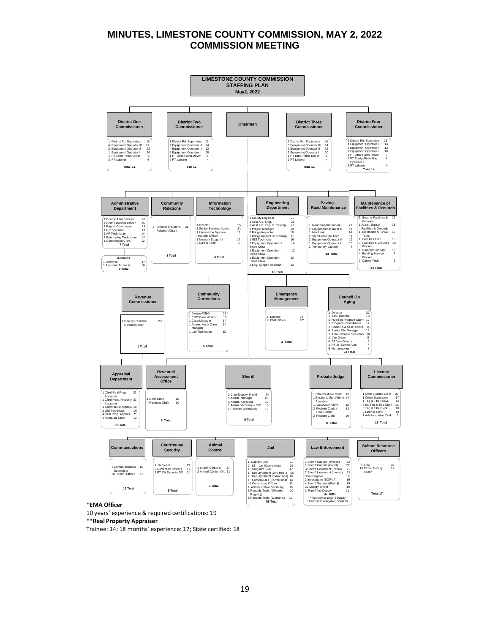

#### \*EMA Officer

10 years' experience & required certifications: 19

\*\*Real Property Appraiser

Trainee: 14; 18 months' experience: 17; State certified: 18